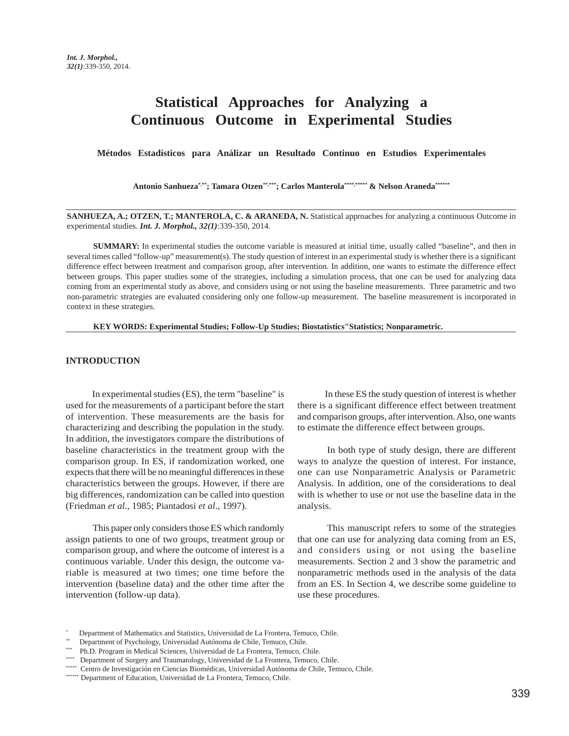# **Statistical Approaches for Analyzing a Continuous Outcome in Experimental Studies**

**Métodos Estadísticos para Análizar un Resultado Continuo en Estudios Experimentales**

Antonio Sanhueza\*,\*\*; Tamara Otzen\*\*,\*\*\*; Carlos Manterola\*\*\*\*,\*\*\*\*\* & Nelson Araneda\*\*\*\*\*\*

**SANHUEZA, A.; OTZEN, T.; MANTEROLA, C. & ARANEDA, N.** Statistical approaches for analyzing a continuous Outcome in experimental studies. *Int. J. Morphol., 32(1)*:339-350, 2014.

**SUMMARY:** In experimental studies the outcome variable is measured at initial time, usually called "baseline", and then in several times called "follow-up" measurement(s). The study question of interest in an experimental study is whether there is a significant difference effect between treatment and comparison group, after intervention. In addition, one wants to estimate the difference effect between groups. This paper studies some of the strategies, including a simulation process, that one can be used for analyzing data coming from an experimental study as above, and considers using or not using the baseline measurements. Three parametric and two non-parametric strategies are evaluated considering only one follow-up measurement. The baseline measurement is incorporated in context in these strategies.

**KEY WORDS: Experimental Studies; Follow-Up Studies; Biostatistics"Statistics; Nonparametric.**

### **INTRODUCTION**

In experimental studies (ES), the term "baseline" is used for the measurements of a participant before the start of intervention. These measurements are the basis for characterizing and describing the population in the study. In addition, the investigators compare the distributions of baseline characteristics in the treatment group with the comparison group. In ES, if randomization worked, one expects that there will be no meaningful differences in these characteristics between the groups. However, if there are big differences, randomization can be called into question (Friedman *et al*., 1985; Piantadosi *et al*., 1997).

 This paper only considers those ES which randomly assign patients to one of two groups, treatment group or comparison group, and where the outcome of interest is a continuous variable. Under this design, the outcome variable is measured at two times; one time before the intervention (baseline data) and the other time after the intervention (follow-up data).

 In these ES the study question of interest is whether there is a significant difference effect between treatment and comparison groups, after intervention. Also, one wants to estimate the difference effect between groups.

 In both type of study design, there are different ways to analyze the question of interest. For instance, one can use Nonparametric Analysis or Parametric Analysis. In addition, one of the considerations to deal with is whether to use or not use the baseline data in the analysis.

 This manuscript refers to some of the strategies that one can use for analyzing data coming from an ES, and considers using or not using the baseline measurements. Section 2 and 3 show the parametric and nonparametric methods used in the analysis of the data from an ES. In Section 4, we describe some guideline to use these procedures.

<sup>\*</sup> Department of Mathematics and Statistics, Universidad de La Frontera, Temuco, Chile.

Department of Psychology, Universidad Autónoma de Chile, Temuco, Chile.

<sup>\*\*\*</sup> Ph.D. Program in Medical Sciences, Universidad de La Frontera, Temuco, Chile.

<sup>\*\*\*\*</sup> Department of Surgery and Traumatology, Universidad de La Frontera, Temuco, Chile.

<sup>\*\*\*\*\*</sup> Centro de Investigación en Ciencias Biomédicas, Universidad Autónoma de Chile, Temuco, Chile.

<sup>\*\*\*\*\*\*\*</sup> Department of Education, Universidad de La Frontera, Temuco, Chile.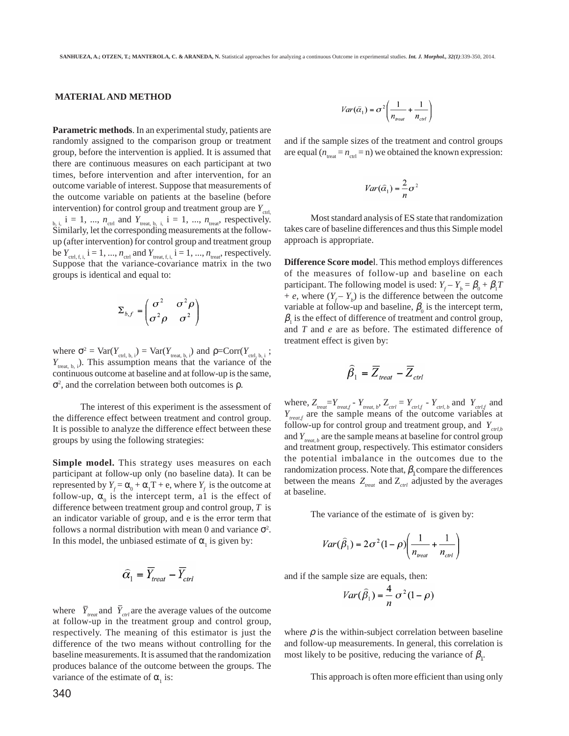#### **MATERIAL AND METHOD**

**Parametric methods**. In an experimental study, patients are randomly assigned to the comparison group or treatment group, before the intervention is applied. It is assumed that there are continuous measures on each participant at two times, before intervention and after intervention, for an outcome variable of interest. Suppose that measurements of the outcome variable on patients at the baseline (before intervention) for control group and treatment group are  $Y_{\text{crit}}$  $b_{i}$ ,  $i = 1, ..., n_{\text{ctrl}}$  and  $Y_{\text{treat}, b, i}$ ,  $i = 1, ..., n_{\text{treat}}$ , respectively. Similarly, let the corresponding measurements at the followup (after intervention) for control group and treatment group be  $Y_{\text{ctrl}, f, i}$ ,  $i = 1, ..., n_{\text{ctrl}}$  and  $Y_{\text{treat}, f, i}$ ,  $i = 1, ..., n_{\text{treat}}$ , respectively. Suppose that the variance-covariance matrix in the two groups is identical and equal to:

$$
\Sigma_{b,f} = \begin{pmatrix} \sigma^2 & \sigma^2 \rho \\ \sigma^2 \rho & \sigma^2 \end{pmatrix}
$$

where  $\sigma^2 = \text{Var}(Y_{\text{ctrl}, b, i}) = \text{Var}(Y_{\text{treat}, b, i})$  and  $\rho = \text{Corr}(Y_{\text{ctrl}, b, i})$ ; *Y*<sub>treat, b, i</sub>). This assumption means that the variance of the continuous outcome at baseline and at follow-up is the same,  $\sigma^2$ , and the correlation between both outcomes is  $\rho$ .

 The interest of this experiment is the assessment of the difference effect between treatment and control group. It is possible to analyze the difference effect between these groups by using the following strategies:

**Simple model.** This strategy uses measures on each participant at follow-up only (no baseline data). It can be represented by  $Y_f = \alpha_0 + \alpha_1 T + e$ , where  $Y_f$  is the outcome at follow-up,  $\alpha_0$  is the intercept term, all is the effect of difference between treatment group and control group, *T* is an indicator variable of group, and e is the error term that follows a normal distribution with mean 0 and variance  $\sigma^2$ . In this model, the unbiased estimate of  $\alpha$ <sub>1</sub> is given by:

$$
\widehat{\alpha}_1 = \overline{Y}_{\textit{treat}} - \overline{Y}_{\textit{ctrl}}
$$

where  $\bar{Y}_{treat}$  and  $\bar{Y}_{crt}$  are the average values of the outcome at follow-up in the treatment group and control group, respectively. The meaning of this estimator is just the difference of the two means without controlling for the baseline measurements. It is assumed that the randomization produces balance of the outcome between the groups. The variance of the estimate of  $\alpha_1$  is:

$$
Var(\hat{\alpha}_1) = \sigma^2 \left( \frac{1}{n_{\text{reat}}} + \frac{1}{n_{\text{ctrl}}}\right)
$$

and if the sample sizes of the treatment and control groups are equal  $(n_{\text{test}} = n_{\text{ctrl}} = n)$  we obtained the known expression:

$$
Var(\hat{\alpha}_1) = \frac{2}{n}\sigma^2
$$

 Most standard analysis of ES state that randomization takes care of baseline differences and thus this Simple model approach is appropriate.

**Difference Score mode**l. This method employs differences of the measures of follow-up and baseline on each participant. The following model is used:  $Y_f - Y_b = \beta_0 + \beta_1 T$ + *e*, where  $(Y_f - Y_b)$  is the difference between the outcome variable at follow-up and baseline,  $\beta_0$  is the intercept term,  $\beta_1$  is the effect of difference of treatment and control group, and *T* and *e* are as before. The estimated difference of treatment effect is given by:

$$
\widehat{\beta}_1 = \overline{Z}_{\text{treat}} - \overline{Z}_{\text{ctrl}}
$$

where,  $Z_{\text{treat}} = Y_{\text{treat},f} - Y_{\text{treat},b}$ ,  $Z_{\text{ctrl}} = Y_{\text{ctrl},f} - Y_{\text{ctrl},b}$  and  $Y_{\text{ctrl},f}$  and *Y<sub>treat,f</sub>* are the sample means of the outcome variables at follow-up for control group and treatment group, and  $Y_{\text{crl},b}$ and  $Y_{t_{\text{treat},b}}$  are the sample means at baseline for control group and treatment group, respectively. This estimator considers the potential imbalance in the outcomes due to the randomization process. Note that,  $\beta$ , compare the differences between the means  $Z_{\text{real}}$  and  $Z_{\text{cell}}$  adjusted by the averages at baseline.

The variance of the estimate of is given by:

$$
Var(\hat{\beta}_1) = 2\sigma^2 (1-\rho) \left( \frac{1}{n_{\text{real}}} + \frac{1}{n_{\text{ctrl}}} \right)
$$

and if the sample size are equals, then:

$$
Var(\hat{\beta}_1) = \frac{4}{n} \sigma^2 (1 - \rho)
$$

where  $\rho$  is the within-subject correlation between baseline and follow-up measurements. In general, this correlation is most likely to be positive, reducing the variance of  $\beta$ <sub>1</sub>.

This approach is often more efficient than using only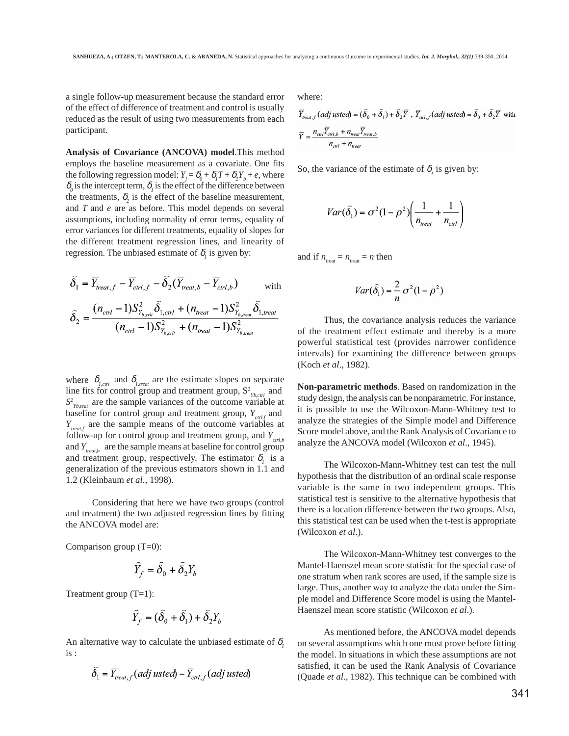a single follow-up measurement because the standard error of the effect of difference of treatment and control is usually reduced as the result of using two measurements from each participant.

**Analysis of Covariance (ANCOVA) model**.This method employs the baseline measurement as a covariate. One fits the following regression model:  $Y_f = \delta_0 + \delta_1 T + \delta_2 Y_b + e$ , where  $\delta$ <sub>o</sub> is the intercept term,  $\delta$ <sub>*l*</sub> is the effect of the difference between the treatments,  $\delta_2$  is the effect of the baseline measurement, and *T* and *e* are as before. This model depends on several assumptions, including normality of error terms, equality of error variances for different treatments, equality of slopes for the different treatment regression lines, and linearity of regression. The unbiased estimate of  $\delta_i$  is given by:

$$
\hat{\delta}_1 = \overline{Y}_{treat, f} - \overline{Y}_{ctrl, f} - \hat{\delta}_2 (\overline{Y}_{treat, b} - \overline{Y}_{ctrl, b})
$$
 with  

$$
\hat{\delta}_2 = \frac{(n_{ctrl} - 1)S_{Y_{b, crit}}^2 \hat{\delta}_{1,ctrl} + (n_{treat} - 1)S_{Y_{b, read}}^2 \hat{\delta}_{1, treat}}{(n_{ctrl} - 1)S_{Y_{b, crit}}^2 + (n_{treat} - 1)S_{Y_{b, read}}^2}
$$

where  $\delta_{i, \text{ctrl}}$  and  $\delta_{i, \text{treat}}$  are the estimate slopes on separate line fits for control group and treatment group,  $S^2_{\gamma_{b, \text{ctrl}}}$  and  $S<sup>2</sup>$ <sub>*Yb,teat*</sub> are the sample variances of the outcome variable at baseline for control group and treatment group,  $Y_{crit}$  and *Y<sub>treat f</sub>* are the sample means of the outcome variables at follow-up for control group and treatment group, and  $Y_{crth}$ and *Ytreat,b* are the sample means at baseline for control group and treatment group, respectively. The estimator  $\delta_i$  is a generalization of the previous estimators shown in 1.1 and 1.2 (Kleinbaum *et al*., 1998).

Considering that here we have two groups (control and treatment) the two adjusted regression lines by fitting the ANCOVA model are:

Comparison group (T=0):

$$
\widehat{Y}_f = \widehat{\delta}_0 + \widehat{\delta}_2 Y_b
$$

Treatment group (T=1):

$$
\widehat{Y}_f = (\widehat{\delta}_0 + \widehat{\delta}_1) + \widehat{\delta}_2 Y_i
$$

An alternative way to calculate the unbiased estimate of  $\delta$ , is :

$$
\widehat{\delta}_1 = \overline{Y}_{\text{reat},f}(adj \text{ used}) - \overline{Y}_{\text{ctrl},f}(adj \text{ used})
$$

where:

$$
\overline{Y}_{\text{real},f}(\text{adj}\text{ used}) = (\widehat{\delta}_0 + \widehat{\delta}_1) + \widehat{\delta}_2 \overline{Y}, \overline{Y}_{\text{crt},f}(\text{adj}\text{ used}) = \widehat{\delta}_0 + \widehat{\delta}_2 \overline{Y} \text{ with}
$$
\n
$$
\overline{Y} = \frac{n_{\text{ctrl}} \overline{Y}_{\text{ctrl},b} + n_{\text{real}} \overline{Y}_{\text{real},b}}{n_{\text{ctrl}} + n_{\text{real}}}
$$

So, the variance of the estimate of  $\delta_i$  is given by:

$$
Var(\hat{\delta}_1) = \sigma^2 (1 - \rho^2) \left( \frac{1}{n_{\text{treat}}} + \frac{1}{n_{\text{ctrl}}} \right)
$$

and if  $n_{\text{treat}} = n_{\text{treat}} = n$  then

$$
Var(\hat{\delta}_1) = \frac{2}{n} \sigma^2 (1 - \rho^2)
$$

Thus, the covariance analysis reduces the variance of the treatment effect estimate and thereby is a more powerful statistical test (provides narrower confidence intervals) for examining the difference between groups (Koch *et al*., 1982).

**Non-parametric methods**. Based on randomization in the study design, the analysis can be nonparametric. For instance, it is possible to use the Wilcoxon-Mann-Whitney test to analyze the strategies of the Simple model and Difference Score model above, and the Rank Analysis of Covariance to analyze the ANCOVA model (Wilcoxon *et al*., 1945).

The Wilcoxon-Mann-Whitney test can test the null hypothesis that the distribution of an ordinal scale response variable is the same in two independent groups. This statistical test is sensitive to the alternative hypothesis that there is a location difference between the two groups. Also, this statistical test can be used when the t-test is appropriate (Wilcoxon *et al*.).

The Wilcoxon-Mann-Whitney test converges to the Mantel-Haenszel mean score statistic for the special case of one stratum when rank scores are used, if the sample size is large. Thus, another way to analyze the data under the Simple model and Difference Score model is using the Mantel-Haenszel mean score statistic (Wilcoxon *et al*.).

As mentioned before, the ANCOVA model depends on several assumptions which one must prove before fitting the model. In situations in which these assumptions are not satisfied, it can be used the Rank Analysis of Covariance (Quade *et al*., 1982). This technique can be combined with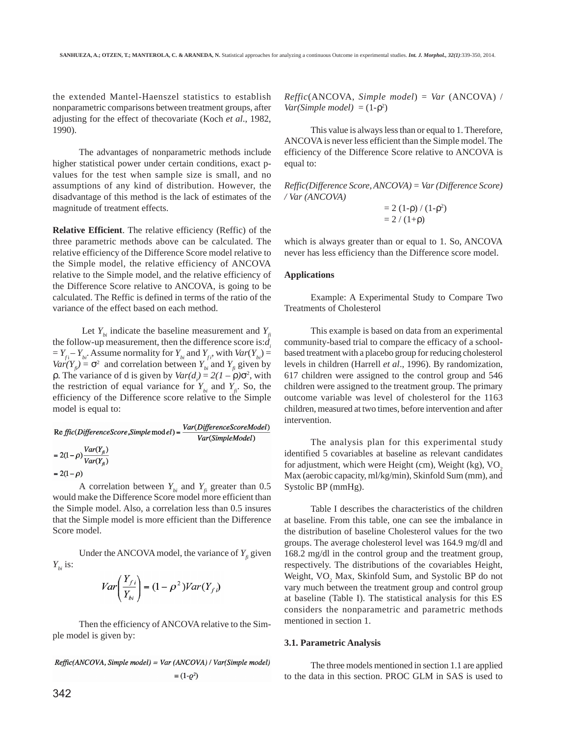the extended Mantel-Haenszel statistics to establish nonparametric comparisons between treatment groups, after adjusting for the effect of thecovariate (Koch *et al*., 1982, 1990).

The advantages of nonparametric methods include higher statistical power under certain conditions, exact pvalues for the test when sample size is small, and no assumptions of any kind of distribution. However, the disadvantage of this method is the lack of estimates of the magnitude of treatment effects.

**Relative Efficient**. The relative efficiency (Reffic) of the three parametric methods above can be calculated. The relative efficiency of the Difference Score model relative to the Simple model, the relative efficiency of ANCOVA relative to the Simple model, and the relative efficiency of the Difference Score relative to ANCOVA, is going to be calculated. The Reffic is defined in terms of the ratio of the variance of the effect based on each method.

Let  $Y_{ki}$  indicate the baseline measurement and  $Y_{ki}$ the follow-up measurement, then the difference score is:*di*  $= Y_{fi} - Y_{bi}$ . Assume normality for  $Y_{bi}$  and  $Y_{fi}$ , with  $Var(Y_{bi}) =$  $Var(Y_e) = \sigma^2$  and correlation between  $Y_e$  and  $Y_e$  given by  $ρ.$  The variance of d is given by  $Var(d_i) = 2(1 - ρ)σ^2$ , with the restriction of equal variance for  $Y_{bi}$  and  $Y_{fi}$ . So, the efficiency of the Difference score relative to the Simple model is equal to:

 $\text{Re}\,\textit{ffic}(\textit{DifferenceScore}, \textit{Simple} \,\text{mod}\,\textit{el}) = \frac{\textit{Var}(\textit{DifferenceScoreModel})}{\textit{Var}(\textit{SimpleModel})}$ Var(SimpleModel)  $= 2(1-\rho)\frac{Var(Y_{fi})}{Var(Y_{fi})}$ 

$$
=2(1-\rho)
$$

A correlation between  $Y_{bi}$  and  $Y_i$  greater than 0.5 would make the Difference Score model more efficient than the Simple model. Also, a correlation less than 0.5 insures that the Simple model is more efficient than the Difference Score model.

Under the ANCOVA model, the variance of  $Y<sub>f</sub>$  given  $Y_{bi}$  is:

$$
Var\left(\frac{Y_{f i}}{Y_{bi}}\right) = (1 - \rho^2)Var(Y_{f i})
$$

Then the efficiency of ANCOVA relative to the Simple model is given by:

Reffic(ANCOVA, Simple model) = Var (ANCOVA) / Var(Simple model)  $= (1 - \rho^2)$ 

*Reffic*(ANCOVA, *Simple model*) = *Var* (ANCOVA) /  $Var(Simple model) = (1-\rho^2)$ 

This value is always less than or equal to 1. Therefore, ANCOVA is never less efficient than the Simple model. The efficiency of the Difference Score relative to ANCOVA is equal to:

*Reffic(Difference Score, ANCOVA) = Var (Difference Score) / Var (ANCOVA)*

$$
= 2 (1-\rho) / (1-\rho^2) = 2 / (1+\rho)
$$

which is always greater than or equal to 1. So, ANCOVA never has less efficiency than the Difference score model.

### **Applications**

Example: A Experimental Study to Compare Two Treatments of Cholesterol

This example is based on data from an experimental community-based trial to compare the efficacy of a schoolbased treatment with a placebo group for reducing cholesterol levels in children (Harrell *et al*., 1996). By randomization, 617 children were assigned to the control group and 546 children were assigned to the treatment group. The primary outcome variable was level of cholesterol for the 1163 children, measured at two times, before intervention and after intervention.

The analysis plan for this experimental study identified 5 covariables at baseline as relevant candidates for adjustment, which were Height (cm), Weight (kg), VO<sub>2</sub> Max (aerobic capacity, ml/kg/min), Skinfold Sum (mm), and Systolic BP (mmHg).

Table I describes the characteristics of the children at baseline. From this table, one can see the imbalance in the distribution of baseline Cholesterol values for the two groups. The average cholesterol level was 164.9 mg/dl and 168.2 mg/dl in the control group and the treatment group, respectively. The distributions of the covariables Height, Weight, VO<sub>2</sub> Max, Skinfold Sum, and Systolic BP do not vary much between the treatment group and control group at baseline (Table I). The statistical analysis for this ES considers the nonparametric and parametric methods mentioned in section 1.

#### **3.1. Parametric Analysis**

The three models mentioned in section 1.1 are applied to the data in this section. PROC GLM in SAS is used to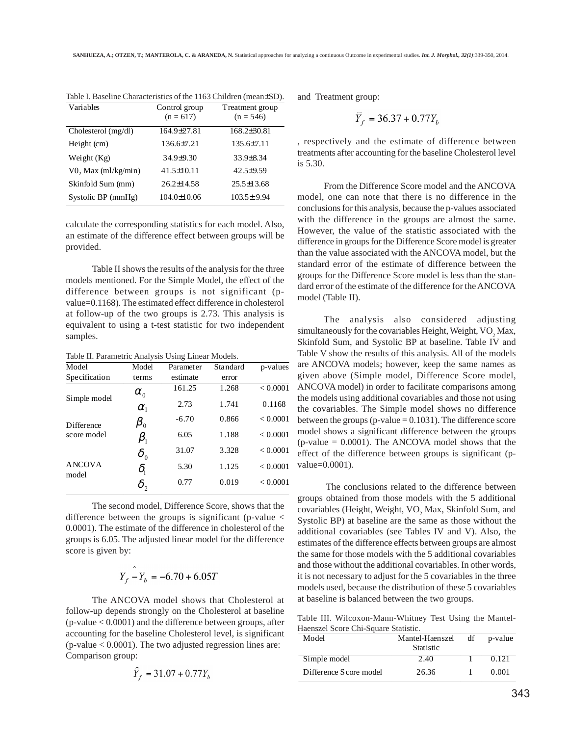| Variables              | Control group<br>$(n = 617)$ | Treatment group<br>$(n = 546)$ |
|------------------------|------------------------------|--------------------------------|
| Cholesterol (mg/dl)    | 164.9±27.81                  | $168.2 \pm 30.81$              |
| Height (cm)            | 136.6±7.21                   | $135.6\pm7.11$                 |
| Weight $(Kg)$          | $34.9 \pm 9.30$              | $33.9 \pm 8.34$                |
| $V0$ , Max (ml/kg/min) | $41.5 \pm 10.11$             | $42.5 \pm 9.59$                |
| Skinfold Sum (mm)      | $26.2 \pm 14.58$             | $25.5 \pm 13.68$               |
| Systolic BP (mmHg)     | $104.0 \pm 10.06$            | $103.5 \pm 9.94$               |

Table I. Baseline Characteristics of the 1163 Children (mean±SD).

calculate the corresponding statistics for each model. Also, an estimate of the difference effect between groups will be provided.

Table II shows the results of the analysis for the three models mentioned. For the Simple Model, the effect of the difference between groups is not significant (pvalue=0.1168). The estimated effect difference in cholesterol at follow-up of the two groups is 2.73. This analysis is equivalent to using a t-test statistic for two independent samples.

Table II. Parametric Analysis Using Linear Models.

| Model                  | Model                           | Parameter | Standard | p-values |
|------------------------|---------------------------------|-----------|----------|----------|
| Specification          | terms                           | estimate  | error    |          |
| Simple model           | $\alpha_{0}$                    | 161.25    | 1.268    | < 0.0001 |
|                        | $\alpha_{1}$                    | 2.73      | 1.741    | 0.1168   |
| Difference             | $\pmb{\beta}_0$                 | $-6.70$   | 0.866    | < 0.0001 |
| score model            | $\beta_{\scriptscriptstyle 1}$  | 6.05      | 1.188    | < 0.0001 |
|                        | $\delta_{_0}$                   | 31.07     | 3.328    | < 0.0001 |
| <b>ANCOVA</b><br>model | $\delta_{\scriptscriptstyle 1}$ | 5.30      | 1.125    | < 0.0001 |
|                        |                                 | 0.77      | 0.019    | < 0.0001 |

The second model, Difference Score, shows that the difference between the groups is significant (p-value < 0.0001). The estimate of the difference in cholesterol of the groups is 6.05. The adjusted linear model for the difference score is given by:

$$
Y_f - Y_b = -6.70 + 6.05T
$$

The ANCOVA model shows that Cholesterol at follow-up depends strongly on the Cholesterol at baseline (p-value < 0.0001) and the difference between groups, after accounting for the baseline Cholesterol level, is significant  $(p$ -value  $< 0.0001$ ). The two adjusted regression lines are: Comparison group:

$$
Y_f = 31.07 + 0.77Y_b
$$

and Treatment group:

$$
\hat{Y}_f = 36.37 + 0.77Y_b
$$

, respectively and the estimate of difference between treatments after accounting for the baseline Cholesterol level is 5.30.

From the Difference Score model and the ANCOVA model, one can note that there is no difference in the conclusions for this analysis, because the p-values associated with the difference in the groups are almost the same. However, the value of the statistic associated with the difference in groups for the Difference Score model is greater than the value associated with the ANCOVA model, but the standard error of the estimate of difference between the groups for the Difference Score model is less than the standard error of the estimate of the difference for the ANCOVA model (Table II).

The analysis also considered adjusting simultaneously for the covariables Height, Weight,  $VO<sub>2</sub>$  Max, Skinfold Sum, and Systolic BP at baseline. Table IV and Table V show the results of this analysis. All of the models are ANCOVA models; however, keep the same names as given above (Simple model, Difference Score model, ANCOVA model) in order to facilitate comparisons among the models using additional covariables and those not using the covariables. The Simple model shows no difference between the groups (p-value  $= 0.1031$ ). The difference score model shows a significant difference between the groups (p-value  $= 0.0001$ ). The ANCOVA model shows that the effect of the difference between groups is significant (pvalue=0.0001).

 The conclusions related to the difference between groups obtained from those models with the 5 additional covariables (Height, Weight,  $VO<sub>2</sub>$  Max, Skinfold Sum, and Systolic BP) at baseline are the same as those without the additional covariables (see Tables IV and V). Also, the estimates of the difference effects between groups are almost the same for those models with the 5 additional covariables and those without the additional covariables. In other words, it is not necessary to adjust for the 5 covariables in the three models used, because the distribution of these 5 covariables at baseline is balanced between the two groups.

Table III. Wilcoxon-Mann-Whitney Test Using the Mantel-Haenszel Score Chi-Square Statistic.

| Model                  | Mantel-Haenszel<br><b>Statistic</b> | df | p-value |
|------------------------|-------------------------------------|----|---------|
| Simple model           | 2.40                                |    | 0.121   |
| Difference Score model | 26.36                               |    | 0.001   |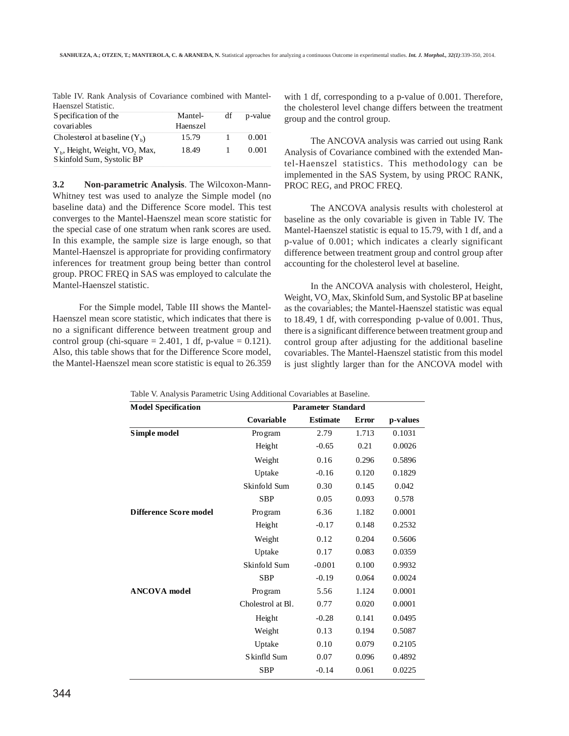|                     |  | Table IV. Rank Analysis of Covariance combined with Mantel- |  |  |
|---------------------|--|-------------------------------------------------------------|--|--|
| Haenszel Statistic. |  |                                                             |  |  |

| S pecification of the                                                               | Mantel-  | df | p-value |
|-------------------------------------------------------------------------------------|----------|----|---------|
| covariables                                                                         | Haenszel |    |         |
| Cholesterol at baseline $(Y_h)$                                                     | 15.79    |    | 0.001   |
| Y <sub>b</sub> , Height, Weight, VO <sub>2</sub> Max,<br>S kinfold Sum, Systolic BP | 18.49    |    | 0.001   |

**3.2 Non-parametric Analysis**. The Wilcoxon-Mann-Whitney test was used to analyze the Simple model (no baseline data) and the Difference Score model. This test converges to the Mantel-Haenszel mean score statistic for the special case of one stratum when rank scores are used. In this example, the sample size is large enough, so that Mantel-Haenszel is appropriate for providing confirmatory inferences for treatment group being better than control group. PROC FREQ in SAS was employed to calculate the Mantel-Haenszel statistic.

For the Simple model, Table III shows the Mantel-Haenszel mean score statistic, which indicates that there is no a significant difference between treatment group and control group (chi-square  $= 2.401$ , 1 df, p-value  $= 0.121$ ). Also, this table shows that for the Difference Score model, the Mantel-Haenszel mean score statistic is equal to 26.359

with 1 df, corresponding to a p-value of 0.001. Therefore, the cholesterol level change differs between the treatment group and the control group.

The ANCOVA analysis was carried out using Rank Analysis of Covariance combined with the extended Mantel-Haenszel statistics. This methodology can be implemented in the SAS System, by using PROC RANK, PROC REG, and PROC FREQ.

The ANCOVA analysis results with cholesterol at baseline as the only covariable is given in Table IV. The Mantel-Haenszel statistic is equal to 15.79, with 1 df, and a p-value of 0.001; which indicates a clearly significant difference between treatment group and control group after accounting for the cholesterol level at baseline.

In the ANCOVA analysis with cholesterol, Height, Weight,  $\rm{VO}_2$  Max, Skinfold Sum, and Systolic BP at baseline as the covariables; the Mantel-Haenszel statistic was equal to 18.49, 1 df, with corresponding p-value of 0.001. Thus, there is a significant difference between treatment group and control group after adjusting for the additional baseline covariables. The Mantel-Haenszel statistic from this model is just slightly larger than for the ANCOVA model with

| <b>Model Specification</b>    |                   | <b>Parameter Standard</b> |       |          |
|-------------------------------|-------------------|---------------------------|-------|----------|
|                               | Covariable        | <b>Estimate</b>           | Error | p-values |
| Simple model                  | Pro gram          | 2.79                      | 1.713 | 0.1031   |
|                               | Height            | $-0.65$                   | 0.21  | 0.0026   |
|                               | Weight            | 0.16                      | 0.296 | 0.5896   |
|                               | Uptake            | $-0.16$                   | 0.120 | 0.1829   |
|                               | Skinfold Sum      | 0.30                      | 0.145 | 0.042    |
|                               | <b>SBP</b>        | 0.05                      | 0.093 | 0.578    |
| <b>Difference Score model</b> | Pro gram          | 6.36                      | 1.182 | 0.0001   |
|                               | Height            | $-0.17$                   | 0.148 | 0.2532   |
|                               | Weight            | 0.12                      | 0.204 | 0.5606   |
|                               | Uptake            | 0.17                      | 0.083 | 0.0359   |
|                               | Skinfold Sum      | $-0.001$                  | 0.100 | 0.9932   |
|                               | <b>SBP</b>        | $-0.19$                   | 0.064 | 0.0024   |
| <b>ANCOVA</b> model           | Pro gram          | 5.56                      | 1.124 | 0.0001   |
|                               | Cholestrol at Bl. | 0.77                      | 0.020 | 0.0001   |
|                               | Height            | $-0.28$                   | 0.141 | 0.0495   |
|                               | Weight            | 0.13                      | 0.194 | 0.5087   |
|                               | Uptake            | 0.10                      | 0.079 | 0.2105   |
|                               | Skinfld Sum       | 0.07                      | 0.096 | 0.4892   |
|                               | <b>SBP</b>        | $-0.14$                   | 0.061 | 0.0225   |

Table V. Analysis Parametric Using Additional Covariables at Baseline.

344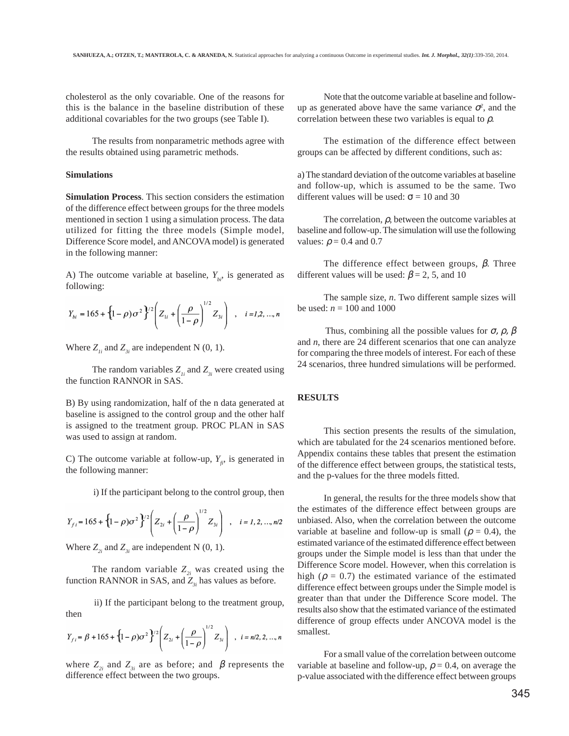cholesterol as the only covariable. One of the reasons for this is the balance in the baseline distribution of these additional covariables for the two groups (see Table I).

The results from nonparametric methods agree with the results obtained using parametric methods.

#### **Simulations**

**Simulation Process**. This section considers the estimation of the difference effect between groups for the three models mentioned in section 1 using a simulation process. The data utilized for fitting the three models (Simple model, Difference Score model, and ANCOVA model) is generated in the following manner:

A) The outcome variable at baseline,  $Y_{bi}$ , is generated as following:

$$
Y_{bi} = 165 + \left\{1 - \rho\right)\sigma^2\right\}^{2/2} \left(Z_{1i} + \left(\frac{\rho}{1 - \rho}\right)^{1/2} Z_{3i}\right) , \quad i = I, 2, ..., n
$$

Where  $Z_{i}$  and  $Z_{3i}$  are independent N (0, 1).

The random variables  $Z_{1i}$  and  $Z_{3i}$  were created using the function RANNOR in SAS.

B) By using randomization, half of the n data generated at baseline is assigned to the control group and the other half is assigned to the treatment group. PROC PLAN in SAS was used to assign at random.

C) The outcome variable at follow-up,  $Y_{\hat{n}}$ , is generated in the following manner:

i) If the participant belong to the control group, then

$$
Y_{f i} = 165 + \left\{1 - \rho\right)\sigma^2\right\}^{2/2} \left(Z_{2i} + \left(\frac{\rho}{1 - \rho}\right)^{1/2} Z_{3i}\right) , \quad i = 1, 2, ..., n/2
$$

Where  $Z_{2i}$  and  $Z_{3i}$  are independent N (0, 1).

The random variable  $Z_{2i}$  was created using the function RANNOR in SAS, and  $Z_{ij}$  has values as before.

 ii) If the participant belong to the treatment group, then

$$
Y_{f i} = \beta + 165 + \left\{1 - \rho\right)\sigma^2\right\}^{1/2} \left(Z_{2i} + \left(\frac{\rho}{1 - \rho}\right)^{1/2} Z_{3i}\right) , i = n/2, 2, ..., n
$$

where  $Z_{2i}$  and  $Z_{3i}$  are as before; and  $\beta$  represents the difference effect between the two groups.

Note that the outcome variable at baseline and followup as generated above have the same variance  $\sigma^2$ , and the correlation between these two variables is equal to  $\rho$ .

The estimation of the difference effect between groups can be affected by different conditions, such as:

a) The standard deviation of the outcome variables at baseline and follow-up, which is assumed to be the same. Two different values will be used:  $\sigma = 10$  and 30

The correlation,  $\rho$ , between the outcome variables at baseline and follow-up. The simulation will use the following values:  $\rho = 0.4$  and 0.7

The difference effect between groups,  $\beta$ . Three different values will be used:  $\beta$  = 2, 5, and 10

The sample size, *n*. Two different sample sizes will be used:  $n = 100$  and 1000

Thus, combining all the possible values for  $\sigma$ ,  $\rho$ ,  $\beta$ and *n*, there are 24 different scenarios that one can analyze for comparing the three models of interest. For each of these 24 scenarios, three hundred simulations will be performed.

## **RESULTS**

This section presents the results of the simulation, which are tabulated for the 24 scenarios mentioned before. Appendix contains these tables that present the estimation of the difference effect between groups, the statistical tests, and the p-values for the three models fitted.

In general, the results for the three models show that the estimates of the difference effect between groups are unbiased. Also, when the correlation between the outcome variable at baseline and follow-up is small ( $\rho = 0.4$ ), the estimated variance of the estimated difference effect between groups under the Simple model is less than that under the Difference Score model. However, when this correlation is high ( $\rho = 0.7$ ) the estimated variance of the estimated difference effect between groups under the Simple model is greater than that under the Difference Score model. The results also show that the estimated variance of the estimated difference of group effects under ANCOVA model is the smallest.

For a small value of the correlation between outcome variable at baseline and follow-up,  $\rho = 0.4$ , on average the p-value associated with the difference effect between groups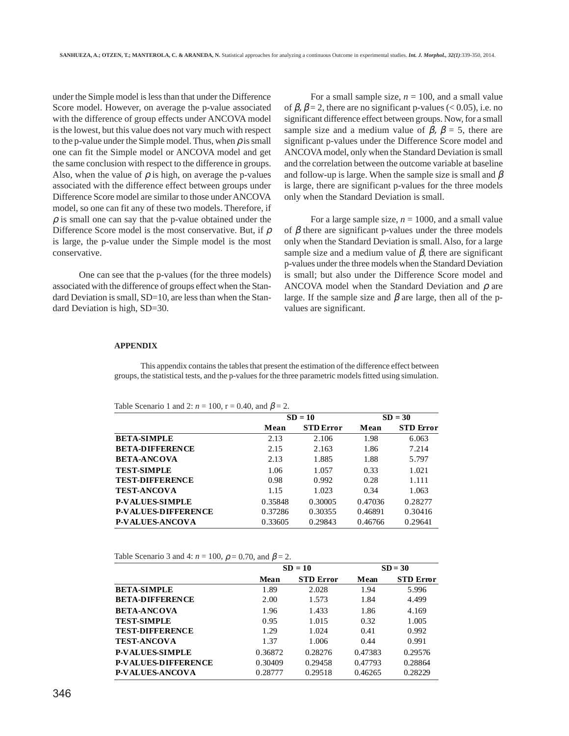under the Simple model is less than that under the Difference Score model. However, on average the p-value associated with the difference of group effects under ANCOVA model is the lowest, but this value does not vary much with respect to the p-value under the Simple model. Thus, when  $\rho$  is small one can fit the Simple model or ANCOVA model and get the same conclusion with respect to the difference in groups. Also, when the value of  $\rho$  is high, on average the p-values associated with the difference effect between groups under Difference Score model are similar to those under ANCOVA model, so one can fit any of these two models. Therefore, if  $\rho$  is small one can say that the p-value obtained under the Difference Score model is the most conservative. But, if  $\rho$ is large, the p-value under the Simple model is the most conservative.

One can see that the p-values (for the three models) associated with the difference of groups effect when the Standard Deviation is small, SD=10, are less than when the Standard Deviation is high, SD=30.

For a small sample size,  $n = 100$ , and a small value of  $\beta$ ,  $\beta$  = 2, there are no significant p-values (< 0.05), i.e. no significant difference effect between groups. Now, for a small sample size and a medium value of  $\beta$ ,  $\beta = 5$ , there are significant p-values under the Difference Score model and ANCOVA model, only when the Standard Deviation is small and the correlation between the outcome variable at baseline and follow-up is large. When the sample size is small and  $\beta$ is large, there are significant p-values for the three models only when the Standard Deviation is small.

For a large sample size,  $n = 1000$ , and a small value of  $\beta$  there are significant p-values under the three models only when the Standard Deviation is small. Also, for a large sample size and a medium value of  $\beta$ , there are significant p-values under the three models when the Standard Deviation is small; but also under the Difference Score model and ANCOVA model when the Standard Deviation and  $\rho$  are large. If the sample size and  $\beta$  are large, then all of the pvalues are significant.

#### **APPENDIX**

This appendix contains the tables that present the estimation of the difference effect between groups, the statistical tests, and the p-values for the three parametric models fitted using simulation.

Table Scenario 1 and 2:  $n = 100$ ,  $r = 0.40$ , and  $\beta = 2$ .

|                            |         | $SD = 10$        |         | $SD = 30$        |  |  |
|----------------------------|---------|------------------|---------|------------------|--|--|
|                            | Mean    | <b>STD</b> Error | Mean    | <b>STD</b> Error |  |  |
| <b>BETA-SIMPLE</b>         | 2.13    | 2.106            | 1.98    | 6.063            |  |  |
| <b>BETA-DIFFERENCE</b>     | 2.15    | 2.163            | 1.86    | 7.214            |  |  |
| <b>BETA-ANCOVA</b>         | 2.13    | 1.885            | 1.88    | 5.797            |  |  |
| <b>TEST-SIMPLE</b>         | 1.06    | 1.057            | 0.33    | 1.021            |  |  |
| <b>TEST-DIFFERENCE</b>     | 0.98    | 0.992            | 0.28    | 1.111            |  |  |
| <b>TEST-ANCOVA</b>         | 1.15    | 1.023            | 0.34    | 1.063            |  |  |
| <b>P-VALUES-SIMPLE</b>     | 0.35848 | 0.30005          | 0.47036 | 0.28277          |  |  |
| <b>P-VALUES-DIFFERENCE</b> | 0.37286 | 0.30355          | 0.46891 | 0.30416          |  |  |
| <b>P-VALUES-ANCOVA</b>     | 0.33605 | 0.29843          | 0.46766 | 0.29641          |  |  |
|                            |         |                  |         |                  |  |  |

Table Scenario 3 and 4:  $n = 100$ ,  $\rho = 0.70$ , and  $\beta = 2$ .

|                            |         | $SD = 10$        |         | $SD = 30$        |
|----------------------------|---------|------------------|---------|------------------|
|                            | Mean    | <b>STD Error</b> | Mean    | <b>STD Error</b> |
| <b>BETA-SIMPLE</b>         | 1.89    | 2.028            | 1.94    | 5.996            |
| <b>BETA-DIFFERENCE</b>     | 2.00    | 1.573            | 1.84    | 4.499            |
| <b>BETA-ANCOVA</b>         | 1.96    | 1.433            | 1.86    | 4.169            |
| <b>TEST-SIMPLE</b>         | 0.95    | 1.015            | 0.32    | 1.005            |
| <b>TEST-DIFFERENCE</b>     | 1.29    | 1.024            | 0.41    | 0.992            |
| <b>TEST-ANCOVA</b>         | 1.37    | 1.006            | 0.44    | 0.991            |
| <b>P-VALUES-SIMPLE</b>     | 0.36872 | 0.28276          | 0.47383 | 0.29576          |
| <b>P-VALUES-DIFFERENCE</b> | 0.30409 | 0.29458          | 0.47793 | 0.28864          |
| <b>P-VALUES-ANCOVA</b>     | 0.28777 | 0.29518          | 0.46265 | 0.28229          |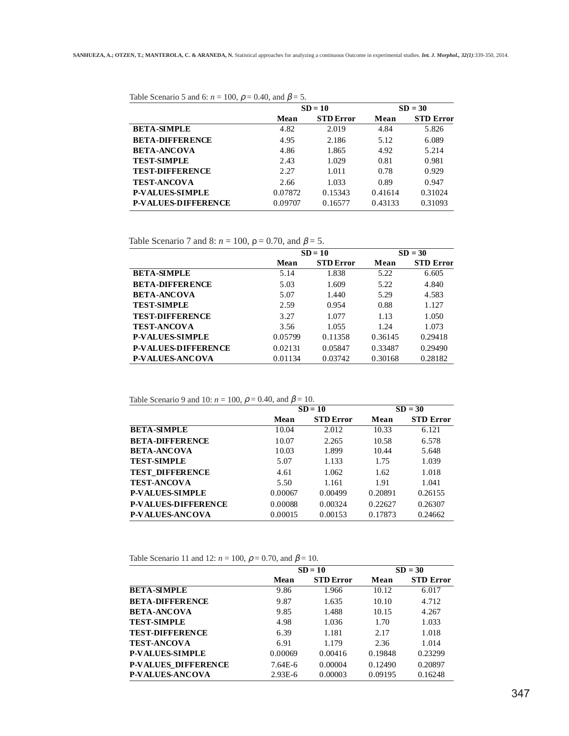Table Scenario 5 and 6:  $n = 100$ ,  $\rho = 0.40$ , and  $\beta = 5$ .

|                            | $SD = 10$ |                  | $SD = 30$ |                  |
|----------------------------|-----------|------------------|-----------|------------------|
|                            | Mean      | <b>STD Error</b> | Mean      | <b>STD Error</b> |
| <b>BETA-SIMPLE</b>         | 4.82      | 2.019            | 4.84      | 5.826            |
| <b>BETA-DIFFERENCE</b>     | 4.95      | 2.186            | 5.12      | 6.089            |
| <b>BETA-ANCOVA</b>         | 4.86      | 1.865            | 4.92      | 5.214            |
| <b>TEST-SIMPLE</b>         | 2.43      | 1.029            | 0.81      | 0.981            |
| <b>TEST-DIFFERENCE</b>     | 2.27      | 1.011            | 0.78      | 0.929            |
| <b>TEST-ANCOVA</b>         | 2.66      | 1.033            | 0.89      | 0.947            |
| <b>P-VALUES-SIMPLE</b>     | 0.07872   | 0.15343          | 0.41614   | 0.31024          |
| <b>P-VALUES-DIFFERENCE</b> | 0.09707   | 0.16577          | 0.43133   | 0.31093          |

Table Scenario 7 and 8:  $n = 100$ ,  $\rho = 0.70$ , and  $\beta = 5$ .

|                            | $SD = 10$ |                  | $SD = 30$ |                  |
|----------------------------|-----------|------------------|-----------|------------------|
|                            | Mean      | <b>STD Error</b> | Mean      | <b>STD Error</b> |
| <b>BETA-SIMPLE</b>         | 5.14      | 1.838            | 5.22      | 6.605            |
| <b>BETA-DIFFERENCE</b>     | 5.03      | 1.609            | 5.22      | 4.840            |
| <b>BETA-ANCOVA</b>         | 5.07      | 1.440            | 5.29      | 4.583            |
| <b>TEST-SIMPLE</b>         | 2.59      | 0.954            | 0.88      | 1.127            |
| <b>TEST-DIFFERENCE</b>     | 3.27      | 1.077            | 1.13      | 1.050            |
| <b>TEST-ANCOVA</b>         | 3.56      | 1.055            | 1.24      | 1.073            |
| <b>P-VALUES-SIMPLE</b>     | 0.05799   | 0.11358          | 0.36145   | 0.29418          |
| <b>P-VALUES-DIFFERENCE</b> | 0.02131   | 0.05847          | 0.33487   | 0.29490          |
| <b>P-VALUES-ANCOVA</b>     | 0.01134   | 0.03742          | 0.30168   | 0.28182          |

Table Scenario 9 and 10:  $n = 100$ ,  $\rho = 0.40$ , and  $\beta = 10$ .

| $SD = 10$ |                  | $SD = 30$ |                  |
|-----------|------------------|-----------|------------------|
| Mean      | <b>STD</b> Error | Mean      | <b>STD Error</b> |
| 10.04     | 2.012            | 10.33     | 6.121            |
| 10.07     | 2.265            | 10.58     | 6.578            |
| 10.03     | 1.899            | 10.44     | 5.648            |
| 5.07      | 1.133            | 1.75      | 1.039            |
| 4.61      | 1.062            | 1.62      | 1.018            |
| 5.50      | 1.161            | 1.91      | 1.041            |
| 0.00067   | 0.00499          | 0.20891   | 0.26155          |
| 0.00088   | 0.00324          | 0.22627   | 0.26307          |
| 0.00015   | 0.00153          | 0.17873   | 0.24662          |
|           |                  |           |                  |

Table Scenario 11 and 12:  $n = 100$ ,  $\rho = 0.70$ , and  $\beta = 10$ .

|                            |             | $SD = 10$        |         | $SD = 30$        |  |
|----------------------------|-------------|------------------|---------|------------------|--|
|                            | <b>Mean</b> | <b>STD</b> Error | Mean    | <b>STD Error</b> |  |
| <b>BETA-SIMPLE</b>         | 9.86        | 1.966            | 10.12   | 6.017            |  |
| <b>BETA-DIFFERENCE</b>     | 9.87        | 1.635            | 10.10   | 4.712            |  |
| <b>BETA-ANCOVA</b>         | 9.85        | 1.488            | 10.15   | 4.267            |  |
| <b>TEST-SIMPLE</b>         | 4.98        | 1.036            | 1.70    | 1.033            |  |
| <b>TEST-DIFFERENCE</b>     | 6.39        | 1.181            | 2.17    | 1.018            |  |
| <b>TEST-ANCOVA</b>         | 6.91        | 1.179            | 2.36    | 1.014            |  |
| <b>P-VALUES-SIMPLE</b>     | 0.00069     | 0.00416          | 0.19848 | 0.23299          |  |
| <b>P-VALUES DIFFERENCE</b> | $7.64E-6$   | 0.00004          | 0.12490 | 0.20897          |  |
| <b>P-VALUES-ANCOVA</b>     | $2.93E-6$   | 0.00003          | 0.09195 | 0.16248          |  |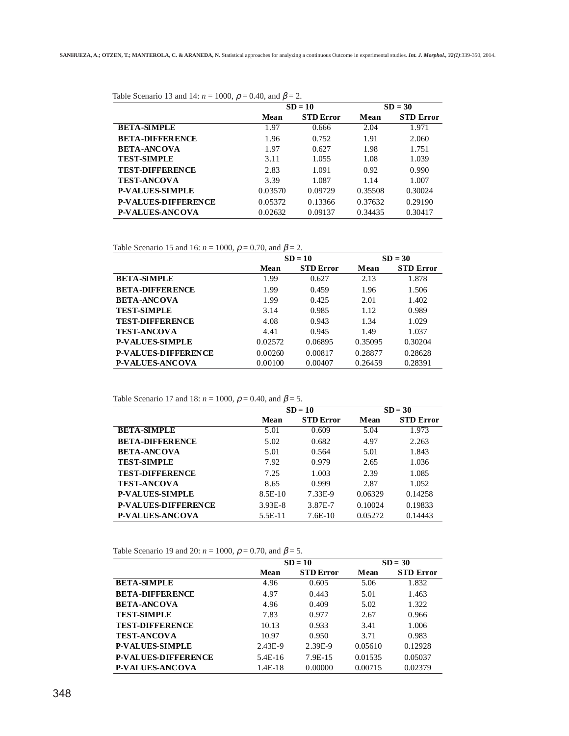|                            | $SD = 10$ |                  | $SD = 30$ |                  |
|----------------------------|-----------|------------------|-----------|------------------|
|                            | Mean      | <b>STD Error</b> | Mean      | <b>STD Error</b> |
| <b>BETA-SIMPLE</b>         | 1.97      | 0.666            | 2.04      | 1.971            |
| <b>BETA-DIFFERENCE</b>     | 1.96      | 0.752            | 1.91      | 2.060            |
| <b>BETA-ANCOVA</b>         | 1.97      | 0.627            | 1.98      | 1.751            |
| <b>TEST-SIMPLE</b>         | 3.11      | 1.055            | 1.08      | 1.039            |
| <b>TEST-DIFFERENCE</b>     | 2.83      | 1.091            | 0.92      | 0.990            |
| <b>TEST-ANCOVA</b>         | 3.39      | 1.087            | 1.14      | 1.007            |
| <b>P-VALUES-SIMPLE</b>     | 0.03570   | 0.09729          | 0.35508   | 0.30024          |
| <b>P-VALUES-DIFFERENCE</b> | 0.05372   | 0.13366          | 0.37632   | 0.29190          |
| <b>P-VALUES-ANCOVA</b>     | 0.02632   | 0.09137          | 0.34435   | 0.30417          |

Table Scenario 15 and 16:  $n = 1000$ ,  $\rho = 0.70$ , and  $\beta = 2$ .

|                            | $SD = 10$ |                  | $SD = 30$ |                  |
|----------------------------|-----------|------------------|-----------|------------------|
|                            | Mean      | <b>STD</b> Error | Mean      | <b>STD Error</b> |
| <b>BETA-SIMPLE</b>         | 1.99      | 0.627            | 2.13      | 1.878            |
| <b>BETA-DIFFERENCE</b>     | 1.99      | 0.459            | 1.96      | 1.506            |
| <b>BETA-ANCOVA</b>         | 1.99      | 0.425            | 2.01      | 1.402            |
| <b>TEST-SIMPLE</b>         | 3.14      | 0.985            | 1.12      | 0.989            |
| <b>TEST-DIFFERENCE</b>     | 4.08      | 0.943            | 1.34      | 1.029            |
| <b>TEST-ANCOVA</b>         | 4.41      | 0.945            | 1.49      | 1.037            |
| <b>P-VALUES-SIMPLE</b>     | 0.02572   | 0.06895          | 0.35095   | 0.30204          |
| <b>P-VALUES-DIFFERENCE</b> | 0.00260   | 0.00817          | 0.28877   | 0.28628          |
| <b>P-VALUES-ANCOVA</b>     | 0.00100   | 0.00407          | 0.26459   | 0.28391          |

Table Scenario 17 and 18:  $n = 1000$ ,  $\rho = 0.40$ , and  $\beta = 5$ .

|                            | $SD = 10$ |                  | $SD = 30$ |                  |
|----------------------------|-----------|------------------|-----------|------------------|
|                            | Mean      | <b>STD Error</b> | Mean      | <b>STD Error</b> |
| <b>BETA-SIMPLE</b>         | 5.01      | 0.609            | 5.04      | 1.973            |
| <b>BETA-DIFFERENCE</b>     | 5.02      | 0.682            | 4.97      | 2.263            |
| <b>BETA-ANCOVA</b>         | 5.01      | 0.564            | 5.01      | 1.843            |
| <b>TEST-SIMPLE</b>         | 7.92      | 0.979            | 2.65      | 1.036            |
| <b>TEST-DIFFERENCE</b>     | 7.25      | 1.003            | 2.39      | 1.085            |
| <b>TEST-ANCOVA</b>         | 8.65      | 0.999            | 2.87      | 1.052            |
| <b>P-VALUES-SIMPLE</b>     | 8.5E-10   | 7.33E-9          | 0.06329   | 0.14258          |
| <b>P-VALUES-DIFFERENCE</b> | $3.93E-8$ | 3.87E-7          | 0.10024   | 0.19833          |
| <b>P-VALUES-ANCOVA</b>     | $5.5E-11$ | $7.6E-10$        | 0.05272   | 0.14443          |

Table Scenario 19 and 20:  $n = 1000$ ,  $\rho = 0.70$ , and  $\beta = 5$ .

|                            | $SD = 10$ |                  | $SD = 30$ |                  |
|----------------------------|-----------|------------------|-----------|------------------|
|                            | Mean      | <b>STD</b> Error | Mean      | <b>STD Error</b> |
| <b>BETA-SIMPLE</b>         | 4.96      | 0.605            | 5.06      | 1.832            |
| <b>BETA-DIFFERENCE</b>     | 4.97      | 0.443            | 5.01      | 1.463            |
| <b>BETA-ANCOVA</b>         | 4.96      | 0.409            | 5.02      | 1.322            |
| <b>TEST-SIMPLE</b>         | 7.83      | 0.977            | 2.67      | 0.966            |
| <b>TEST-DIFFERENCE</b>     | 10.13     | 0.933            | 3.41      | 1.006            |
| <b>TEST-ANCOVA</b>         | 10.97     | 0.950            | 3.71      | 0.983            |
| <b>P-VALUES-SIMPLE</b>     | 2.43E-9   | 2.39E-9          | 0.05610   | 0.12928          |
| <b>P-VALUES-DIFFERENCE</b> | 5.4E-16   | 7.9E-15          | 0.01535   | 0.05037          |
| <b>P-VALUES-ANCOVA</b>     | $1.4E-18$ | 0.00000          | 0.00715   | 0.02379          |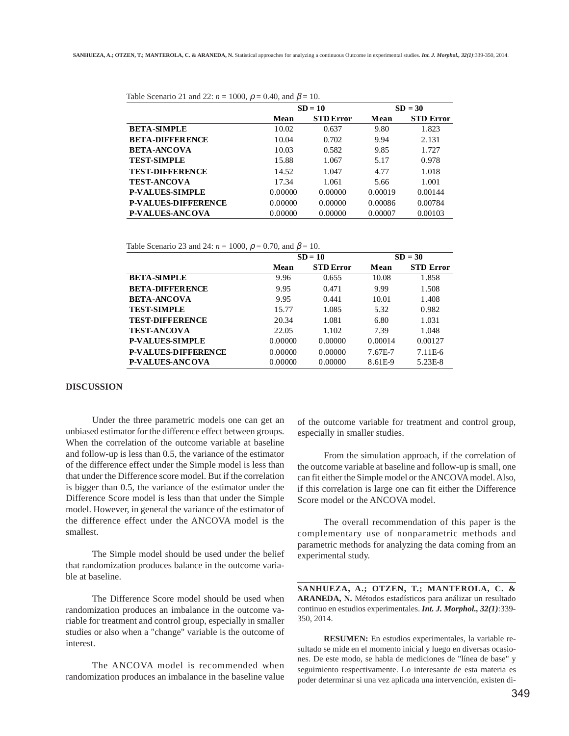|                            | $SD = 10$ |                  | $SD = 30$ |                  |
|----------------------------|-----------|------------------|-----------|------------------|
|                            | Mean      | <b>STD</b> Error | Mean      | <b>STD Error</b> |
| <b>BETA-SIMPLE</b>         | 10.02     | 0.637            | 9.80      | 1.823            |
| <b>BETA-DIFFERENCE</b>     | 10.04     | 0.702            | 9.94      | 2.131            |
| <b>BETA-ANCOVA</b>         | 10.03     | 0.582            | 9.85      | 1.727            |
| <b>TEST-SIMPLE</b>         | 15.88     | 1.067            | 5.17      | 0.978            |
| <b>TEST-DIFFERENCE</b>     | 14.52     | 1.047            | 4.77      | 1.018            |
| <b>TEST-ANCOVA</b>         | 17.34     | 1.061            | 5.66      | 1.001            |
| <b>P-VALUES-SIMPLE</b>     | 0.00000   | 0.00000          | 0.00019   | 0.00144          |
| <b>P-VALUES-DIFFERENCE</b> | 0.00000   | 0.00000          | 0.00086   | 0.00784          |
| <b>P-VALUES-ANCOVA</b>     | 0.00000   | 0.00000          | 0.00007   | 0.00103          |

Table Scenario 21 and  $22: n = 1000$ ,  $q = 0.40$ , and  $\beta = 10$ .

Table Scenario 23 and 24:  $n = 1000$ ,  $\rho = 0.70$ , and  $\beta = 10$ .

|                            | $SD = 10$ |                  | $SD = 30$ |                  |
|----------------------------|-----------|------------------|-----------|------------------|
|                            | Mean      | <b>STD</b> Error | Mean      | <b>STD Error</b> |
| <b>BETA-SIMPLE</b>         | 9.96      | 0.655            | 10.08     | 1.858            |
| <b>BETA-DIFFERENCE</b>     | 9.95      | 0.471            | 9.99      | 1.508            |
| <b>BETA-ANCOVA</b>         | 9.95      | 0.441            | 10.01     | 1.408            |
| <b>TEST-SIMPLE</b>         | 15.77     | 1.085            | 5.32      | 0.982            |
| <b>TEST-DIFFERENCE</b>     | 20.34     | 1.081            | 6.80      | 1.031            |
| <b>TEST-ANCOVA</b>         | 22.05     | 1.102            | 7.39      | 1.048            |
| <b>P-VALUES-SIMPLE</b>     | 0.00000   | 0.00000          | 0.00014   | 0.00127          |
| <b>P-VALUES-DIFFERENCE</b> | 0.00000   | 0.00000          | 7.67E-7   | 7.11E-6          |
| <b>P-VALUES-ANCOVA</b>     | 0.00000   | 0.00000          | 8.61E-9   | 5.23E-8          |

#### **DISCUSSION**

Under the three parametric models one can get an unbiased estimator for the difference effect between groups. When the correlation of the outcome variable at baseline and follow-up is less than 0.5, the variance of the estimator of the difference effect under the Simple model is less than that under the Difference score model. But if the correlation is bigger than 0.5, the variance of the estimator under the Difference Score model is less than that under the Simple model. However, in general the variance of the estimator of the difference effect under the ANCOVA model is the smallest.

The Simple model should be used under the belief that randomization produces balance in the outcome variable at baseline.

The Difference Score model should be used when randomization produces an imbalance in the outcome variable for treatment and control group, especially in smaller studies or also when a "change" variable is the outcome of interest.

The ANCOVA model is recommended when randomization produces an imbalance in the baseline value of the outcome variable for treatment and control group, especially in smaller studies.

From the simulation approach, if the correlation of the outcome variable at baseline and follow-up is small, one can fit either the Simple model or the ANCOVA model. Also, if this correlation is large one can fit either the Difference Score model or the ANCOVA model.

The overall recommendation of this paper is the complementary use of nonparametric methods and parametric methods for analyzing the data coming from an experimental study.

**SANHUEZA, A.; OTZEN, T.; MANTEROLA, C. & ARANEDA, N.** Métodos estadísticos para análizar un resultado continuo en estudios experimentales. *Int. J. Morphol., 32(1)*:339- 350, 2014.

**RESUMEN:** En estudios experimentales, la variable resultado se mide en el momento inicial y luego en diversas ocasiones. De este modo, se habla de mediciones de "línea de base" y seguimiento respectivamente. Lo interesante de esta materia es poder determinar si una vez aplicada una intervención, existen di